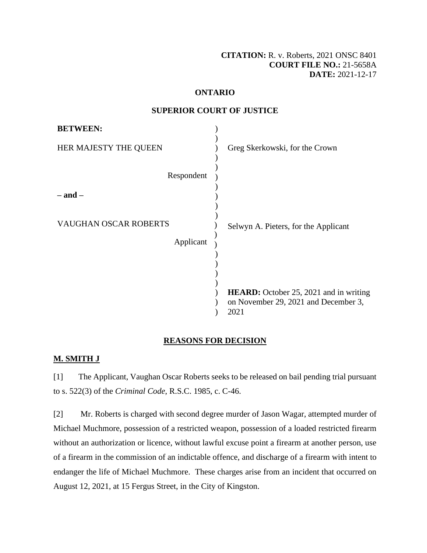**[CITATION:](http://intra.judicialsecurity.jus.gov.on.ca/NeutralCitation/)** R. v. Roberts, 2021 ONSC 8401 **COURT FILE NO.:** 21-5658A **DATE:** 2021-12-17

## **ONTARIO**

### **SUPERIOR COURT OF JUSTICE**

| <b>BETWEEN:</b>              |                                                                                               |
|------------------------------|-----------------------------------------------------------------------------------------------|
| HER MAJESTY THE QUEEN        | Greg Skerkowski, for the Crown                                                                |
| Respondent                   |                                                                                               |
| – and –                      |                                                                                               |
| <b>VAUGHAN OSCAR ROBERTS</b> | Selwyn A. Pieters, for the Applicant                                                          |
| Applicant                    |                                                                                               |
|                              |                                                                                               |
|                              | <b>HEARD:</b> October 25, 2021 and in writing<br>on November 29, 2021 and December 3,<br>2021 |

## **REASONS FOR DECISION**

## **M. SMITH J**

[1] The Applicant, Vaughan Oscar Roberts seeks to be released on bail pending trial pursuant to s. 522(3) of the *Criminal Code*, R.S.C. 1985, c. C-46.

[2] Mr. Roberts is charged with second degree murder of Jason Wagar, attempted murder of Michael Muchmore, possession of a restricted weapon, possession of a loaded restricted firearm without an authorization or licence, without lawful excuse point a firearm at another person, use of a firearm in the commission of an indictable offence, and discharge of a firearm with intent to endanger the life of Michael Muchmore. These charges arise from an incident that occurred on August 12, 2021, at 15 Fergus Street, in the City of Kingston.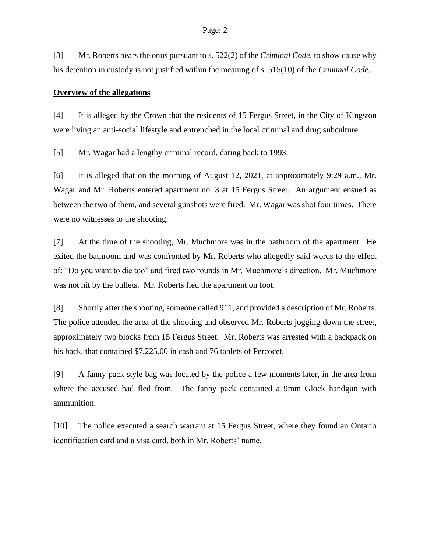[3] Mr. Roberts bears the onus pursuant to s. 522(2) of the *Criminal Code*, to show cause why his detention in custody is not justified within the meaning of s. 515(10) of the *Criminal Code*.

#### **Overview of the allegations**

[4] It is alleged by the Crown that the residents of 15 Fergus Street, in the City of Kingston were living an anti-social lifestyle and entrenched in the local criminal and drug subculture.

[5] Mr. Wagar had a lengthy criminal record, dating back to 1993.

[6] It is alleged that on the morning of August 12, 2021, at approximately 9:29 a.m., Mr. Wagar and Mr. Roberts entered apartment no. 3 at 15 Fergus Street. An argument ensued as between the two of them, and several gunshots were fired. Mr. Wagar was shot four times. There were no witnesses to the shooting.

[7] At the time of the shooting, Mr. Muchmore was in the bathroom of the apartment. He exited the bathroom and was confronted by Mr. Roberts who allegedly said words to the effect of: "Do you want to die too" and fired two rounds in Mr. Muchmore's direction. Mr. Muchmore was not hit by the bullets. Mr. Roberts fled the apartment on foot.

[8] Shortly after the shooting, someone called 911, and provided a description of Mr. Roberts. The police attended the area of the shooting and observed Mr. Roberts jogging down the street, approximately two blocks from 15 Fergus Street. Mr. Roberts was arrested with a backpack on his back, that contained \$7,225.00 in cash and 76 tablets of Percocet.

[9] A fanny pack style bag was located by the police a few moments later, in the area from where the accused had fled from. The fanny pack contained a 9mm Glock handgun with ammunition.

[10] The police executed a search warrant at 15 Fergus Street, where they found an Ontario identification card and a visa card, both in Mr. Roberts' name.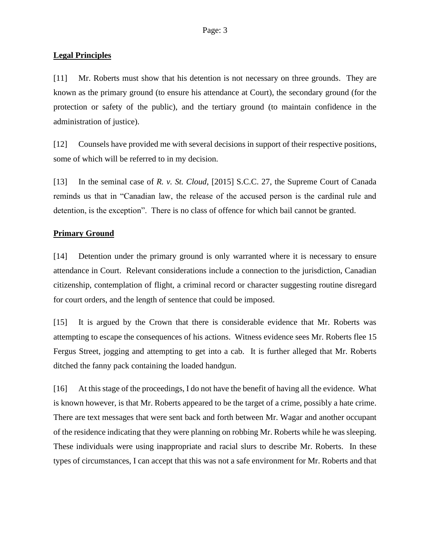# **Legal Principles**

[11] Mr. Roberts must show that his detention is not necessary on three grounds. They are known as the primary ground (to ensure his attendance at Court), the secondary ground (for the protection or safety of the public), and the tertiary ground (to maintain confidence in the administration of justice).

[12] Counsels have provided me with several decisions in support of their respective positions, some of which will be referred to in my decision.

[13] In the seminal case of *R. v. St. Cloud*, [2015] S.C.C. 27, the Supreme Court of Canada reminds us that in "Canadian law, the release of the accused person is the cardinal rule and detention, is the exception". There is no class of offence for which bail cannot be granted.

# **Primary Ground**

[14] Detention under the primary ground is only warranted where it is necessary to ensure attendance in Court. Relevant considerations include a connection to the jurisdiction, Canadian citizenship, contemplation of flight, a criminal record or character suggesting routine disregard for court orders, and the length of sentence that could be imposed.

[15] It is argued by the Crown that there is considerable evidence that Mr. Roberts was attempting to escape the consequences of his actions. Witness evidence sees Mr. Roberts flee 15 Fergus Street, jogging and attempting to get into a cab. It is further alleged that Mr. Roberts ditched the fanny pack containing the loaded handgun.

[16] At this stage of the proceedings, I do not have the benefit of having all the evidence. What is known however, is that Mr. Roberts appeared to be the target of a crime, possibly a hate crime. There are text messages that were sent back and forth between Mr. Wagar and another occupant of the residence indicating that they were planning on robbing Mr. Roberts while he was sleeping. These individuals were using inappropriate and racial slurs to describe Mr. Roberts. In these types of circumstances, I can accept that this was not a safe environment for Mr. Roberts and that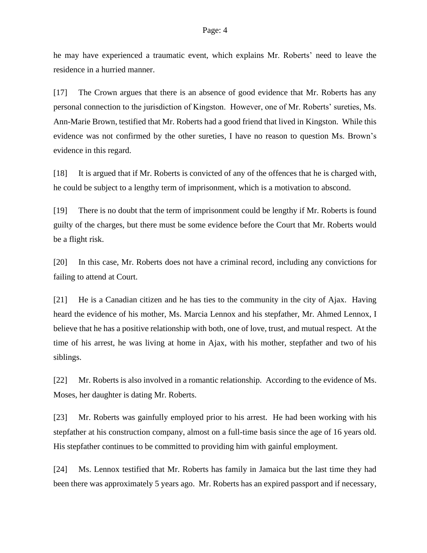he may have experienced a traumatic event, which explains Mr. Roberts' need to leave the residence in a hurried manner.

[17] The Crown argues that there is an absence of good evidence that Mr. Roberts has any personal connection to the jurisdiction of Kingston. However, one of Mr. Roberts' sureties, Ms. Ann-Marie Brown, testified that Mr. Roberts had a good friend that lived in Kingston. While this evidence was not confirmed by the other sureties, I have no reason to question Ms. Brown's evidence in this regard.

[18] It is argued that if Mr. Roberts is convicted of any of the offences that he is charged with, he could be subject to a lengthy term of imprisonment, which is a motivation to abscond.

[19] There is no doubt that the term of imprisonment could be lengthy if Mr. Roberts is found guilty of the charges, but there must be some evidence before the Court that Mr. Roberts would be a flight risk.

[20] In this case, Mr. Roberts does not have a criminal record, including any convictions for failing to attend at Court.

[21] He is a Canadian citizen and he has ties to the community in the city of Ajax. Having heard the evidence of his mother, Ms. Marcia Lennox and his stepfather, Mr. Ahmed Lennox, I believe that he has a positive relationship with both, one of love, trust, and mutual respect. At the time of his arrest, he was living at home in Ajax, with his mother, stepfather and two of his siblings.

[22] Mr. Roberts is also involved in a romantic relationship. According to the evidence of Ms. Moses, her daughter is dating Mr. Roberts.

[23] Mr. Roberts was gainfully employed prior to his arrest. He had been working with his stepfather at his construction company, almost on a full-time basis since the age of 16 years old. His stepfather continues to be committed to providing him with gainful employment.

[24] Ms. Lennox testified that Mr. Roberts has family in Jamaica but the last time they had been there was approximately 5 years ago. Mr. Roberts has an expired passport and if necessary,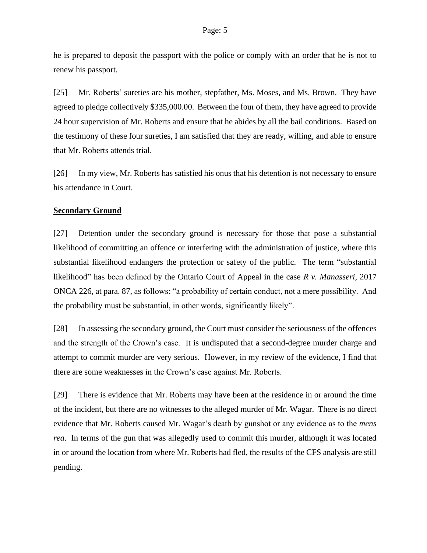he is prepared to deposit the passport with the police or comply with an order that he is not to renew his passport.

[25] Mr. Roberts' sureties are his mother, stepfather, Ms. Moses, and Ms. Brown. They have agreed to pledge collectively \$335,000.00. Between the four of them, they have agreed to provide 24 hour supervision of Mr. Roberts and ensure that he abides by all the bail conditions. Based on the testimony of these four sureties, I am satisfied that they are ready, willing, and able to ensure that Mr. Roberts attends trial.

[26] In my view, Mr. Roberts has satisfied his onus that his detention is not necessary to ensure his attendance in Court.

## **Secondary Ground**

[27] Detention under the secondary ground is necessary for those that pose a substantial likelihood of committing an offence or interfering with the administration of justice, where this substantial likelihood endangers the protection or safety of the public. The term "substantial likelihood" has been defined by the Ontario Court of Appeal in the case *R v. Manasseri*, 2017 ONCA 226, at para. 87, as follows: "a probability of certain conduct, not a mere possibility. And the probability must be substantial, in other words, significantly likely".

[28] In assessing the secondary ground, the Court must consider the seriousness of the offences and the strength of the Crown's case. It is undisputed that a second-degree murder charge and attempt to commit murder are very serious. However, in my review of the evidence, I find that there are some weaknesses in the Crown's case against Mr. Roberts.

[29] There is evidence that Mr. Roberts may have been at the residence in or around the time of the incident, but there are no witnesses to the alleged murder of Mr. Wagar. There is no direct evidence that Mr. Roberts caused Mr. Wagar's death by gunshot or any evidence as to the *mens rea*. In terms of the gun that was allegedly used to commit this murder, although it was located in or around the location from where Mr. Roberts had fled, the results of the CFS analysis are still pending.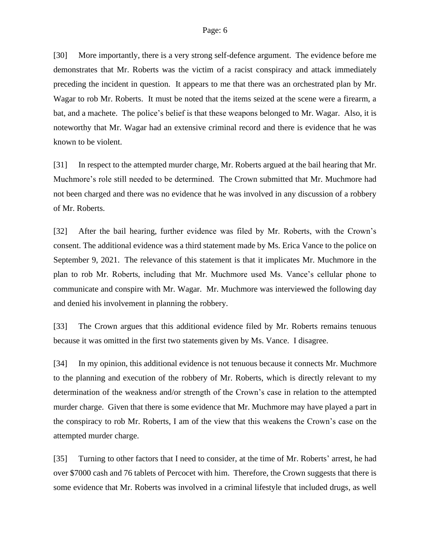[30] More importantly, there is a very strong self-defence argument. The evidence before me demonstrates that Mr. Roberts was the victim of a racist conspiracy and attack immediately preceding the incident in question. It appears to me that there was an orchestrated plan by Mr. Wagar to rob Mr. Roberts. It must be noted that the items seized at the scene were a firearm, a bat, and a machete. The police's belief is that these weapons belonged to Mr. Wagar. Also, it is noteworthy that Mr. Wagar had an extensive criminal record and there is evidence that he was known to be violent.

[31] In respect to the attempted murder charge, Mr. Roberts argued at the bail hearing that Mr. Muchmore's role still needed to be determined. The Crown submitted that Mr. Muchmore had not been charged and there was no evidence that he was involved in any discussion of a robbery of Mr. Roberts.

[32] After the bail hearing, further evidence was filed by Mr. Roberts, with the Crown's consent. The additional evidence was a third statement made by Ms. Erica Vance to the police on September 9, 2021. The relevance of this statement is that it implicates Mr. Muchmore in the plan to rob Mr. Roberts, including that Mr. Muchmore used Ms. Vance's cellular phone to communicate and conspire with Mr. Wagar. Mr. Muchmore was interviewed the following day and denied his involvement in planning the robbery.

[33] The Crown argues that this additional evidence filed by Mr. Roberts remains tenuous because it was omitted in the first two statements given by Ms. Vance. I disagree.

[34] In my opinion, this additional evidence is not tenuous because it connects Mr. Muchmore to the planning and execution of the robbery of Mr. Roberts, which is directly relevant to my determination of the weakness and/or strength of the Crown's case in relation to the attempted murder charge. Given that there is some evidence that Mr. Muchmore may have played a part in the conspiracy to rob Mr. Roberts, I am of the view that this weakens the Crown's case on the attempted murder charge.

[35] Turning to other factors that I need to consider, at the time of Mr. Roberts' arrest, he had over \$7000 cash and 76 tablets of Percocet with him. Therefore, the Crown suggests that there is some evidence that Mr. Roberts was involved in a criminal lifestyle that included drugs, as well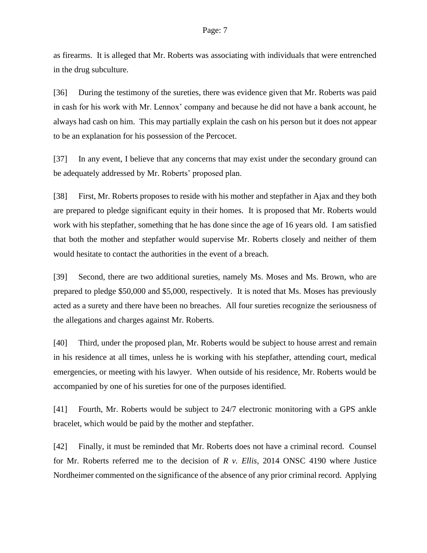as firearms. It is alleged that Mr. Roberts was associating with individuals that were entrenched in the drug subculture.

[36] During the testimony of the sureties, there was evidence given that Mr. Roberts was paid in cash for his work with Mr. Lennox' company and because he did not have a bank account, he always had cash on him. This may partially explain the cash on his person but it does not appear to be an explanation for his possession of the Percocet.

[37] In any event, I believe that any concerns that may exist under the secondary ground can be adequately addressed by Mr. Roberts' proposed plan.

[38] First, Mr. Roberts proposes to reside with his mother and stepfather in Ajax and they both are prepared to pledge significant equity in their homes. It is proposed that Mr. Roberts would work with his stepfather, something that he has done since the age of 16 years old. I am satisfied that both the mother and stepfather would supervise Mr. Roberts closely and neither of them would hesitate to contact the authorities in the event of a breach.

[39] Second, there are two additional sureties, namely Ms. Moses and Ms. Brown, who are prepared to pledge \$50,000 and \$5,000, respectively. It is noted that Ms. Moses has previously acted as a surety and there have been no breaches. All four sureties recognize the seriousness of the allegations and charges against Mr. Roberts.

[40] Third, under the proposed plan, Mr. Roberts would be subject to house arrest and remain in his residence at all times, unless he is working with his stepfather, attending court, medical emergencies, or meeting with his lawyer. When outside of his residence, Mr. Roberts would be accompanied by one of his sureties for one of the purposes identified.

[41] Fourth, Mr. Roberts would be subject to 24/7 electronic monitoring with a GPS ankle bracelet, which would be paid by the mother and stepfather.

[42] Finally, it must be reminded that Mr. Roberts does not have a criminal record. Counsel for Mr. Roberts referred me to the decision of *R v. Ellis,* 2014 ONSC 4190 where Justice Nordheimer commented on the significance of the absence of any prior criminal record. Applying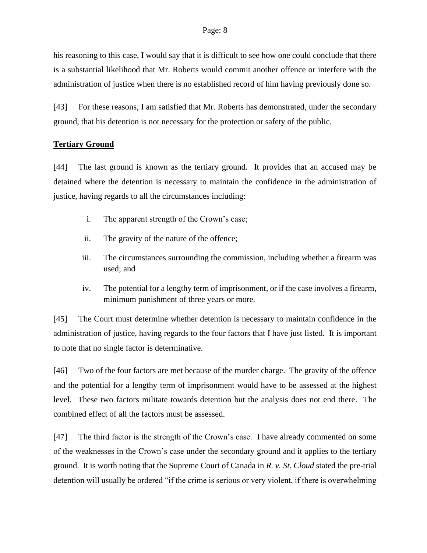his reasoning to this case, I would say that it is difficult to see how one could conclude that there is a substantial likelihood that Mr. Roberts would commit another offence or interfere with the administration of justice when there is no established record of him having previously done so.

[43] For these reasons, I am satisfied that Mr. Roberts has demonstrated, under the secondary ground, that his detention is not necessary for the protection or safety of the public.

# **Tertiary Ground**

[44] The last ground is known as the tertiary ground. It provides that an accused may be detained where the detention is necessary to maintain the confidence in the administration of justice, having regards to all the circumstances including:

- i. The apparent strength of the Crown's case;
- ii. The gravity of the nature of the offence;
- iii. The circumstances surrounding the commission, including whether a firearm was used; and
- iv. The potential for a lengthy term of imprisonment, or if the case involves a firearm, minimum punishment of three years or more.

[45] The Court must determine whether detention is necessary to maintain confidence in the administration of justice, having regards to the four factors that I have just listed. It is important to note that no single factor is determinative.

[46] Two of the four factors are met because of the murder charge. The gravity of the offence and the potential for a lengthy term of imprisonment would have to be assessed at the highest level. These two factors militate towards detention but the analysis does not end there. The combined effect of all the factors must be assessed.

[47] The third factor is the strength of the Crown's case. I have already commented on some of the weaknesses in the Crown's case under the secondary ground and it applies to the tertiary ground. It is worth noting that the Supreme Court of Canada in *R. v. St. Cloud* stated the pre-trial detention will usually be ordered "if the crime is serious or very violent, if there is overwhelming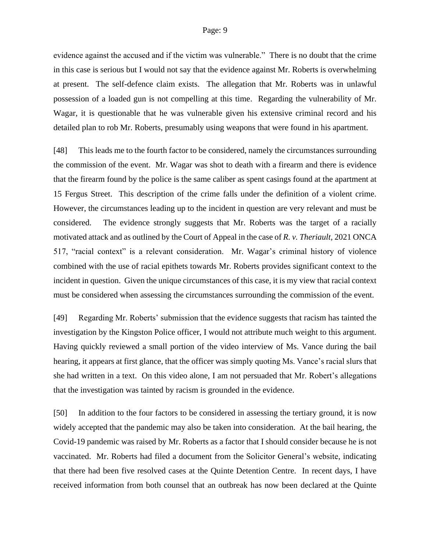evidence against the accused and if the victim was vulnerable." There is no doubt that the crime in this case is serious but I would not say that the evidence against Mr. Roberts is overwhelming at present. The self-defence claim exists. The allegation that Mr. Roberts was in unlawful possession of a loaded gun is not compelling at this time. Regarding the vulnerability of Mr. Wagar, it is questionable that he was vulnerable given his extensive criminal record and his detailed plan to rob Mr. Roberts, presumably using weapons that were found in his apartment.

[48] This leads me to the fourth factor to be considered, namely the circumstances surrounding the commission of the event. Mr. Wagar was shot to death with a firearm and there is evidence that the firearm found by the police is the same caliber as spent casings found at the apartment at 15 Fergus Street. This description of the crime falls under the definition of a violent crime. However, the circumstances leading up to the incident in question are very relevant and must be considered. The evidence strongly suggests that Mr. Roberts was the target of a racially motivated attack and as outlined by the Court of Appeal in the case of *R. v. Theriault,* 2021 ONCA 517, "racial context" is a relevant consideration. Mr. Wagar's criminal history of violence combined with the use of racial epithets towards Mr. Roberts provides significant context to the incident in question. Given the unique circumstances of this case, it is my view that racial context must be considered when assessing the circumstances surrounding the commission of the event.

[49] Regarding Mr. Roberts' submission that the evidence suggests that racism has tainted the investigation by the Kingston Police officer, I would not attribute much weight to this argument. Having quickly reviewed a small portion of the video interview of Ms. Vance during the bail hearing, it appears at first glance, that the officer was simply quoting Ms. Vance's racial slurs that she had written in a text. On this video alone, I am not persuaded that Mr. Robert's allegations that the investigation was tainted by racism is grounded in the evidence.

[50] In addition to the four factors to be considered in assessing the tertiary ground, it is now widely accepted that the pandemic may also be taken into consideration. At the bail hearing, the Covid-19 pandemic was raised by Mr. Roberts as a factor that I should consider because he is not vaccinated. Mr. Roberts had filed a document from the Solicitor General's website, indicating that there had been five resolved cases at the Quinte Detention Centre. In recent days, I have received information from both counsel that an outbreak has now been declared at the Quinte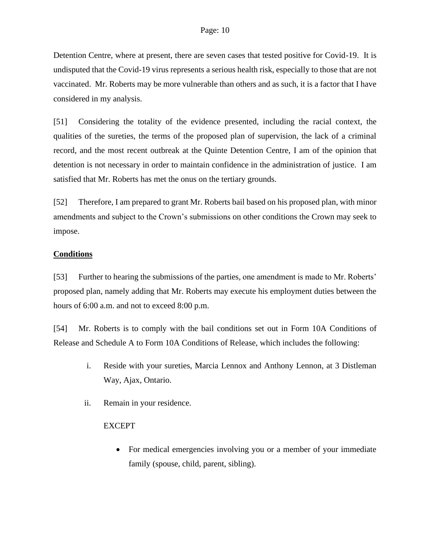Detention Centre, where at present, there are seven cases that tested positive for Covid-19. It is undisputed that the Covid-19 virus represents a serious health risk, especially to those that are not vaccinated. Mr. Roberts may be more vulnerable than others and as such, it is a factor that I have considered in my analysis.

[51] Considering the totality of the evidence presented, including the racial context, the qualities of the sureties, the terms of the proposed plan of supervision, the lack of a criminal record, and the most recent outbreak at the Quinte Detention Centre, I am of the opinion that detention is not necessary in order to maintain confidence in the administration of justice. I am satisfied that Mr. Roberts has met the onus on the tertiary grounds.

[52] Therefore, I am prepared to grant Mr. Roberts bail based on his proposed plan, with minor amendments and subject to the Crown's submissions on other conditions the Crown may seek to impose.

# **Conditions**

[53] Further to hearing the submissions of the parties, one amendment is made to Mr. Roberts' proposed plan, namely adding that Mr. Roberts may execute his employment duties between the hours of 6:00 a.m. and not to exceed 8:00 p.m.

[54] Mr. Roberts is to comply with the bail conditions set out in Form 10A Conditions of Release and Schedule A to Form 10A Conditions of Release, which includes the following:

- i. Reside with your sureties, Marcia Lennox and Anthony Lennon, at 3 Distleman Way, Ajax, Ontario.
- ii. Remain in your residence.

# EXCEPT

• For medical emergencies involving you or a member of your immediate family (spouse, child, parent, sibling).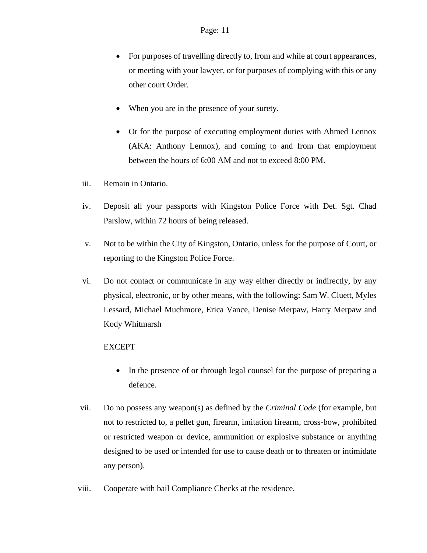- For purposes of travelling directly to, from and while at court appearances, or meeting with your lawyer, or for purposes of complying with this or any other court Order.
- When you are in the presence of your surety.
- Or for the purpose of executing employment duties with Ahmed Lennox (AKA: Anthony Lennox), and coming to and from that employment between the hours of 6:00 AM and not to exceed 8:00 PM.
- iii. Remain in Ontario.
- iv. Deposit all your passports with Kingston Police Force with Det. Sgt. Chad Parslow, within 72 hours of being released.
- v. Not to be within the City of Kingston, Ontario, unless for the purpose of Court, or reporting to the Kingston Police Force.
- vi. Do not contact or communicate in any way either directly or indirectly, by any physical, electronic, or by other means, with the following: Sam W. Cluett, Myles Lessard, Michael Muchmore, Erica Vance, Denise Merpaw, Harry Merpaw and Kody Whitmarsh

## EXCEPT

- In the presence of or through legal counsel for the purpose of preparing a defence.
- vii. Do no possess any weapon(s) as defined by the *Criminal Code* (for example, but not to restricted to, a pellet gun, firearm, imitation firearm, cross-bow, prohibited or restricted weapon or device, ammunition or explosive substance or anything designed to be used or intended for use to cause death or to threaten or intimidate any person).
- viii. Cooperate with bail Compliance Checks at the residence.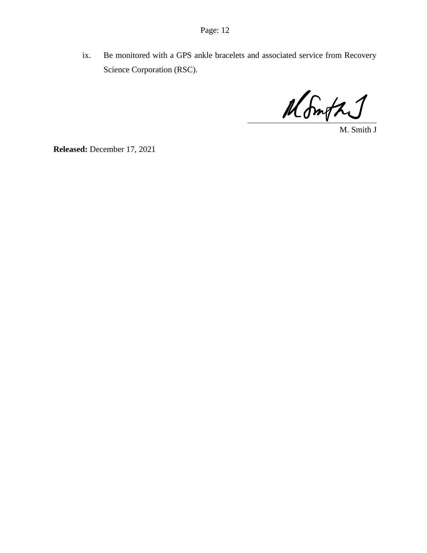ix. Be monitored with a GPS ankle bracelets and associated service from Recovery Science Corporation (RSC).

Month

M. Smith J

**Released:** December 17, 2021